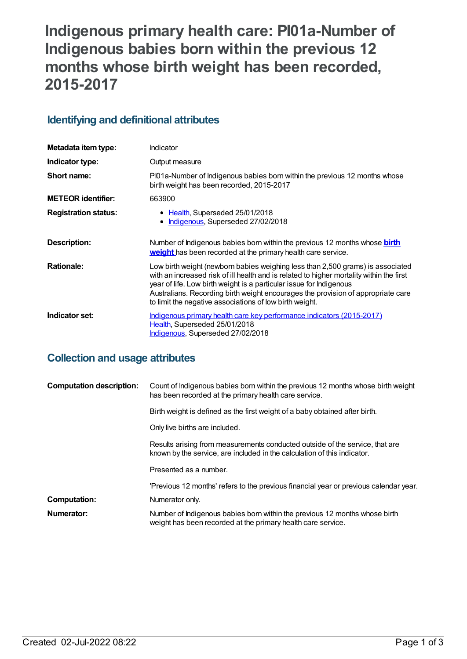# **Indigenous primary health care: PI01a-Number of Indigenous babies born within the previous 12 months whose birth weight has been recorded, 2015-2017**

# **Identifying and definitional attributes**

| Metadata item type:         | Indicator                                                                                                                                                                                                                                                                                                                                                                                        |
|-----------------------------|--------------------------------------------------------------------------------------------------------------------------------------------------------------------------------------------------------------------------------------------------------------------------------------------------------------------------------------------------------------------------------------------------|
| Indicator type:             | Output measure                                                                                                                                                                                                                                                                                                                                                                                   |
| Short name:                 | PI01a-Number of Indigenous babies born within the previous 12 months whose<br>birth weight has been recorded, 2015-2017                                                                                                                                                                                                                                                                          |
| <b>METEOR identifier:</b>   | 663900                                                                                                                                                                                                                                                                                                                                                                                           |
| <b>Registration status:</b> | • Health, Superseded 25/01/2018<br>Indigenous, Superseded 27/02/2018<br>$\bullet$                                                                                                                                                                                                                                                                                                                |
| Description:                | Number of Indigenous babies born within the previous 12 months whose <b>birth</b><br>weight has been recorded at the primary health care service.                                                                                                                                                                                                                                                |
| <b>Rationale:</b>           | Low birth weight (newborn babies weighing less than 2,500 grams) is associated<br>with an increased risk of ill health and is related to higher mortality within the first<br>year of life. Low birth weight is a particular issue for Indigenous<br>Australians. Recording birth weight encourages the provision of appropriate care<br>to limit the negative associations of low birth weight. |
| Indicator set:              | <u>Indigenous primary health care key performance indicators (2015-2017)</u><br>Health, Superseded 25/01/2018<br>Indigenous, Superseded 27/02/2018                                                                                                                                                                                                                                               |

# **Collection and usage attributes**

| <b>Computation description:</b> | Count of Indigenous babies born within the previous 12 months whose birth weight<br>has been recorded at the primary health care service.                |
|---------------------------------|----------------------------------------------------------------------------------------------------------------------------------------------------------|
|                                 | Birth weight is defined as the first weight of a baby obtained after birth.                                                                              |
|                                 | Only live births are included.                                                                                                                           |
|                                 | Results arising from measurements conducted outside of the service, that are<br>known by the service, are included in the calculation of this indicator. |
|                                 | Presented as a number.                                                                                                                                   |
|                                 | 'Previous 12 months' refers to the previous financial year or previous calendar year.                                                                    |
| Computation:                    | Numerator only.                                                                                                                                          |
| Numerator:                      | Number of Indigenous babies born within the previous 12 months whose birth<br>weight has been recorded at the primary health care service.               |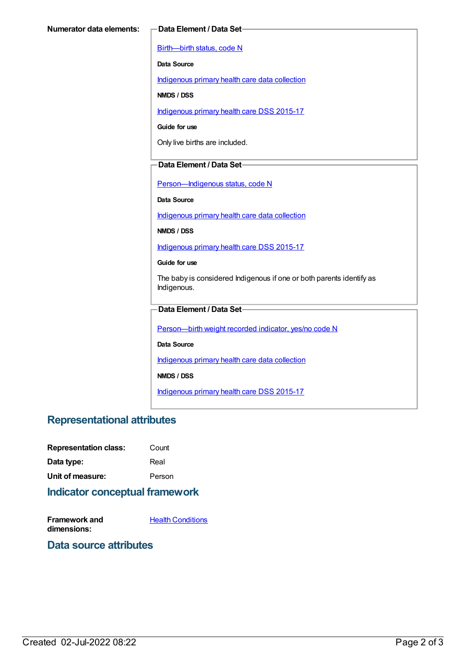[Birth—birth](https://meteor.aihw.gov.au/content/269949) status, code N

**Data Source**

[Indigenous](https://meteor.aihw.gov.au/content/430643) primary health care data collection

**NMDS / DSS**

[Indigenous](https://meteor.aihw.gov.au/content/585036) primary health care DSS 2015-17

**Guide for use**

Only live births are included.

### **Data Element / Data Set**

Person-Indigenous status, code N

**Data Source**

[Indigenous](https://meteor.aihw.gov.au/content/430643) primary health care data collection

**NMDS / DSS**

[Indigenous](https://meteor.aihw.gov.au/content/585036) primary health care DSS 2015-17

**Guide for use**

The baby is considered Indigenous if one or both parents identify as Indigenous.

#### **Data Element / Data Set**

[Person—birth](https://meteor.aihw.gov.au/content/441701) weight recorded indicator, yes/no code N

**Data Source**

[Indigenous](https://meteor.aihw.gov.au/content/430643) primary health care data collection

**NMDS / DSS**

[Indigenous](https://meteor.aihw.gov.au/content/585036) primary health care DSS 2015-17

# **Representational attributes**

| <b>Representation class:</b> | Count  |
|------------------------------|--------|
| Data type:                   | Real   |
| Unit of measure:             | Person |

# **Indicator conceptual framework**

**Framework and dimensions:**

**Health [Conditions](https://meteor.aihw.gov.au/content/410650)** 

#### **Data source attributes**